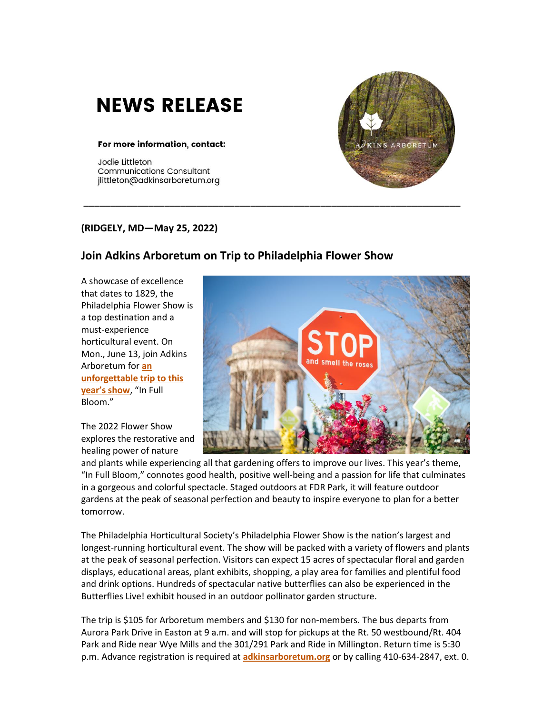## **NEWS RELEASE**

## For more information, contact:

Jodie Littleton **Communications Consultant** jlittleton@adkinsarboretum.org



## **(RIDGELY, MD—May 25, 2022)**

## **Join Adkins Arboretum on Trip to Philadelphia Flower Show**

\_\_\_\_\_\_\_\_\_\_\_\_\_\_\_\_\_\_\_\_\_\_\_\_\_\_\_\_\_\_\_\_\_\_\_\_\_\_\_\_\_\_\_\_\_\_\_\_\_\_\_\_\_\_\_\_\_\_\_\_\_\_\_\_\_\_\_\_\_\_

A showcase of excellence that dates to 1829, the Philadelphia Flower Show is a top destination and a must-experience horticultural event. On Mon., June 13, join Adkins Arboretum for **[an](https://adkins.donorshops.com/product/PFS2022-6-13-2022/philadelphia-flower-show-trip-june-13)  [unforgettable trip to this](https://adkins.donorshops.com/product/PFS2022-6-13-2022/philadelphia-flower-show-trip-june-13)  [year's show](https://adkins.donorshops.com/product/PFS2022-6-13-2022/philadelphia-flower-show-trip-june-13)**, "In Full Bloom."

The 2022 Flower Show explores the restorative and healing power of nature



and plants while experiencing all that gardening offers to improve our lives. This year's theme, "In Full Bloom," connotes good health, positive well-being and a passion for life that culminates in a gorgeous and colorful spectacle. Staged outdoors at FDR Park, it will feature outdoor gardens at the peak of seasonal perfection and beauty to inspire everyone to plan for a better tomorrow.

The Philadelphia Horticultural Society's Philadelphia Flower Show is the nation's largest and longest-running horticultural event. The show will be packed with a variety of flowers and plants at the peak of seasonal perfection. Visitors can expect 15 acres of spectacular floral and garden displays, educational areas, plant exhibits, shopping, a play area for families and plentiful food and drink options. Hundreds of spectacular native butterflies can also be experienced in the Butterflies Live! exhibit housed in an outdoor pollinator garden structure.

The trip is \$105 for Arboretum members and \$130 for non-members. The bus departs from Aurora Park Drive in Easton at 9 a.m. and will stop for pickups at the Rt. 50 westbound/Rt. 404 Park and Ride near Wye Mills and the 301/291 Park and Ride in Millington. Return time is 5:30 p.m. Advance registration is required at **[adkinsarboretum.org](https://adkins.donorshops.com/product/PFS2022-6-13-2022/philadelphia-flower-show-trip-june-13)** or by calling 410-634-2847, ext. 0.